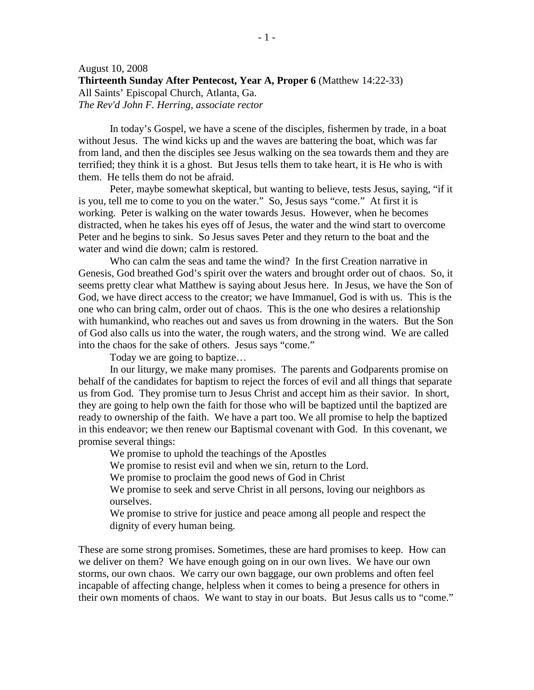In today's Gospel, we have a scene of the disciples, fishermen by trade, in a boat without Jesus. The wind kicks up and the waves are battering the boat, which was far from land, and then the disciples see Jesus walking on the sea towards them and they are terrified; they think it is a ghost. But Jesus tells them to take heart, it is He who is with them. He tells them do not be afraid.

 Peter, maybe somewhat skeptical, but wanting to believe, tests Jesus, saying, "if it is you, tell me to come to you on the water." So, Jesus says "come." At first it is working. Peter is walking on the water towards Jesus. However, when he becomes distracted, when he takes his eyes off of Jesus, the water and the wind start to overcome Peter and he begins to sink. So Jesus saves Peter and they return to the boat and the water and wind die down; calm is restored.

 Who can calm the seas and tame the wind? In the first Creation narrative in Genesis, God breathed God's spirit over the waters and brought order out of chaos. So, it seems pretty clear what Matthew is saying about Jesus here. In Jesus, we have the Son of God, we have direct access to the creator; we have Immanuel, God is with us. This is the one who can bring calm, order out of chaos. This is the one who desires a relationship with humankind, who reaches out and saves us from drowning in the waters. But the Son of God also calls us into the water, the rough waters, and the strong wind. We are called into the chaos for the sake of others. Jesus says "come."

Today we are going to baptize…

 In our liturgy, we make many promises. The parents and Godparents promise on behalf of the candidates for baptism to reject the forces of evil and all things that separate us from God. They promise turn to Jesus Christ and accept him as their savior. In short, they are going to help own the faith for those who will be baptized until the baptized are ready to ownership of the faith. We have a part too. We all promise to help the baptized in this endeavor; we then renew our Baptismal covenant with God. In this covenant, we promise several things:

We promise to uphold the teachings of the Apostles

We promise to resist evil and when we sin, return to the Lord.

We promise to proclaim the good news of God in Christ

We promise to seek and serve Christ in all persons, loving our neighbors as ourselves.

We promise to strive for justice and peace among all people and respect the dignity of every human being.

These are some strong promises. Sometimes, these are hard promises to keep. How can we deliver on them? We have enough going on in our own lives. We have our own storms, our own chaos. We carry our own baggage, our own problems and often feel incapable of affecting change, helpless when it comes to being a presence for others in their own moments of chaos. We want to stay in our boats. But Jesus calls us to "come."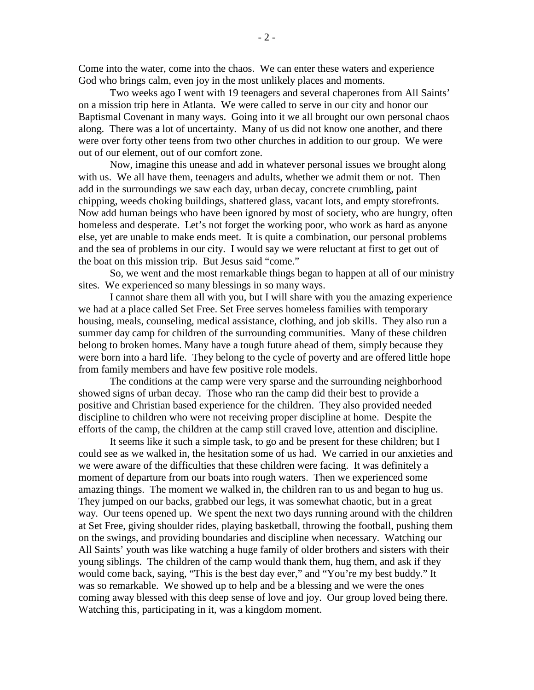Come into the water, come into the chaos. We can enter these waters and experience God who brings calm, even joy in the most unlikely places and moments.

 Two weeks ago I went with 19 teenagers and several chaperones from All Saints' on a mission trip here in Atlanta. We were called to serve in our city and honor our Baptismal Covenant in many ways. Going into it we all brought our own personal chaos along. There was a lot of uncertainty. Many of us did not know one another, and there were over forty other teens from two other churches in addition to our group. We were out of our element, out of our comfort zone.

Now, imagine this unease and add in whatever personal issues we brought along with us. We all have them, teenagers and adults, whether we admit them or not. Then add in the surroundings we saw each day, urban decay, concrete crumbling, paint chipping, weeds choking buildings, shattered glass, vacant lots, and empty storefronts. Now add human beings who have been ignored by most of society, who are hungry, often homeless and desperate. Let's not forget the working poor, who work as hard as anyone else, yet are unable to make ends meet. It is quite a combination, our personal problems and the sea of problems in our city. I would say we were reluctant at first to get out of the boat on this mission trip. But Jesus said "come."

 So, we went and the most remarkable things began to happen at all of our ministry sites. We experienced so many blessings in so many ways.

I cannot share them all with you, but I will share with you the amazing experience we had at a place called Set Free. Set Free serves homeless families with temporary housing, meals, counseling, medical assistance, clothing, and job skills. They also run a summer day camp for children of the surrounding communities. Many of these children belong to broken homes. Many have a tough future ahead of them, simply because they were born into a hard life. They belong to the cycle of poverty and are offered little hope from family members and have few positive role models.

The conditions at the camp were very sparse and the surrounding neighborhood showed signs of urban decay. Those who ran the camp did their best to provide a positive and Christian based experience for the children. They also provided needed discipline to children who were not receiving proper discipline at home. Despite the efforts of the camp, the children at the camp still craved love, attention and discipline.

It seems like it such a simple task, to go and be present for these children; but I could see as we walked in, the hesitation some of us had. We carried in our anxieties and we were aware of the difficulties that these children were facing. It was definitely a moment of departure from our boats into rough waters. Then we experienced some amazing things. The moment we walked in, the children ran to us and began to hug us. They jumped on our backs, grabbed our legs, it was somewhat chaotic, but in a great way. Our teens opened up. We spent the next two days running around with the children at Set Free, giving shoulder rides, playing basketball, throwing the football, pushing them on the swings, and providing boundaries and discipline when necessary. Watching our All Saints' youth was like watching a huge family of older brothers and sisters with their young siblings. The children of the camp would thank them, hug them, and ask if they would come back, saying, "This is the best day ever," and "You're my best buddy." It was so remarkable. We showed up to help and be a blessing and we were the ones coming away blessed with this deep sense of love and joy. Our group loved being there. Watching this, participating in it, was a kingdom moment.